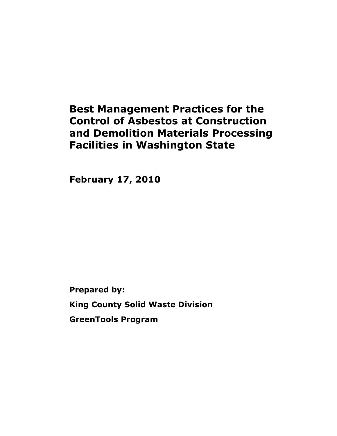# **Best Management Practices for the Control of Asbestos at Construction and Demolition Materials Processing Facilities in Washington State**

**February 17, 2010**

**Prepared by: King County Solid Waste Division GreenTools Program**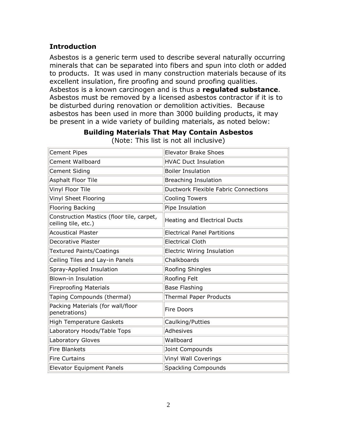## **Introduction**

Asbestos is a generic term used to describe several naturally occurring minerals that can be separated into fibers and spun into cloth or added to products. It was used in many construction materials because of its excellent insulation, fire proofing and sound proofing qualities. Asbestos is a known carcinogen and is thus a **regulated substance**. Asbestos must be removed by a licensed asbestos contractor if it is to be disturbed during renovation or demolition activities. Because asbestos has been used in more than 3000 building products, it may be present in a wide variety of building materials, as noted below:

| <b>Cement Pipes</b>                                              | <b>Elevator Brake Shoes</b>          |
|------------------------------------------------------------------|--------------------------------------|
| <b>Cement Wallboard</b>                                          | <b>HVAC Duct Insulation</b>          |
| <b>Cement Siding</b>                                             | <b>Boiler Insulation</b>             |
| Asphalt Floor Tile                                               | <b>Breaching Insulation</b>          |
| Vinyl Floor Tile                                                 | Ductwork Flexible Fabric Connections |
| Vinyl Sheet Flooring                                             | <b>Cooling Towers</b>                |
| <b>Flooring Backing</b>                                          | Pipe Insulation                      |
| Construction Mastics (floor tile, carpet,<br>ceiling tile, etc.) | Heating and Electrical Ducts         |
| <b>Acoustical Plaster</b>                                        | <b>Electrical Panel Partitions</b>   |
| <b>Decorative Plaster</b>                                        | <b>Electrical Cloth</b>              |
| <b>Textured Paints/Coatings</b>                                  | <b>Electric Wiring Insulation</b>    |
| Ceiling Tiles and Lay-in Panels                                  | Chalkboards                          |
| Spray-Applied Insulation                                         | Roofing Shingles                     |
| <b>Blown-in Insulation</b>                                       | Roofing Felt                         |
| <b>Fireproofing Materials</b>                                    | <b>Base Flashing</b>                 |
| Taping Compounds (thermal)                                       | <b>Thermal Paper Products</b>        |
| Packing Materials (for wall/floor<br>penetrations)               | Fire Doors                           |
| <b>High Temperature Gaskets</b>                                  | Caulking/Putties                     |
| Laboratory Hoods/Table Tops                                      | Adhesives                            |
| Laboratory Gloves                                                | Wallboard                            |
| <b>Fire Blankets</b>                                             | Joint Compounds                      |
| <b>Fire Curtains</b>                                             | Vinyl Wall Coverings                 |
| <b>Elevator Equipment Panels</b>                                 | <b>Spackling Compounds</b>           |

**Building Materials That May Contain Asbestos** (Note: This list is not all inclusive)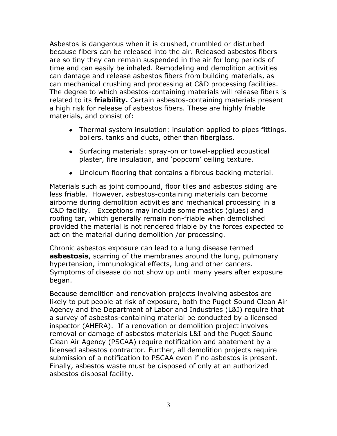Asbestos is dangerous when it is crushed, crumbled or disturbed because fibers can be released into the air. Released asbestos fibers are so tiny they can remain suspended in the air for long periods of time and can easily be inhaled. Remodeling and demolition activities can damage and release asbestos fibers from building materials, as can mechanical crushing and processing at C&D processing facilities. The degree to which asbestos-containing materials will release fibers is related to its **friability.** Certain asbestos-containing materials present a high risk for release of asbestos fibers. These are highly friable materials, and consist of:

- Thermal system insulation: insulation applied to pipes fittings, boilers, tanks and ducts, other than fiberglass.
- Surfacing materials: spray-on or towel-applied acoustical plaster, fire insulation, and 'popcorn' ceiling texture.
- Linoleum flooring that contains a fibrous backing material.

Materials such as joint compound, floor tiles and asbestos siding are less friable. However, asbestos-containing materials can become airborne during demolition activities and mechanical processing in a C&D facility. Exceptions may include some mastics (glues) and roofing tar, which generally remain non-friable when demolished provided the material is not rendered friable by the forces expected to act on the material during demolition /or processing.

Chronic asbestos exposure can lead to a lung disease termed **asbestosis**, scarring of the membranes around the lung, pulmonary hypertension, immunological effects, lung and other cancers. Symptoms of disease do not show up until many years after exposure began.

Because demolition and renovation projects involving asbestos are likely to put people at risk of exposure, both the Puget Sound Clean Air Agency and the Department of Labor and Industries (L&I) require that a survey of asbestos-containing material be conducted by a licensed inspector (AHERA). If a renovation or demolition project involves removal or damage of asbestos materials L&I and the Puget Sound Clean Air Agency (PSCAA) require notification and abatement by a licensed asbestos contractor. Further, all demolition projects require submission of a notification to PSCAA even if no asbestos is present. Finally, asbestos waste must be disposed of only at an authorized asbestos disposal facility.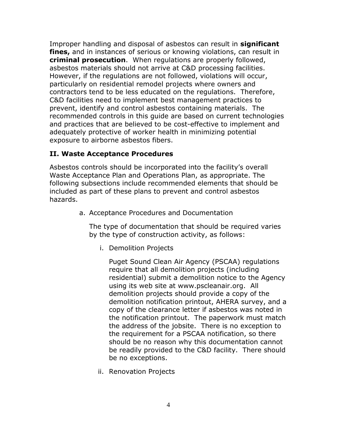Improper handling and disposal of asbestos can result in **significant fines,** and in instances of serious or knowing violations, can result in **criminal prosecution**. When regulations are properly followed, asbestos materials should not arrive at C&D processing facilities. However, if the regulations are not followed, violations will occur, particularly on residential remodel projects where owners and contractors tend to be less educated on the regulations. Therefore, C&D facilities need to implement best management practices to prevent, identify and control asbestos containing materials. The recommended controls in this guide are based on current technologies and practices that are believed to be cost-effective to implement and adequately protective of worker health in minimizing potential exposure to airborne asbestos fibers.

### **II. Waste Acceptance Procedures**

Asbestos controls should be incorporated into the facility's overall Waste Acceptance Plan and Operations Plan, as appropriate. The following subsections include recommended elements that should be included as part of these plans to prevent and control asbestos hazards.

a. Acceptance Procedures and Documentation

The type of documentation that should be required varies by the type of construction activity, as follows:

i. Demolition Projects

Puget Sound Clean Air Agency (PSCAA) regulations require that all demolition projects (including residential) submit a demolition notice to the Agency using its web site at www.pscleanair.org. All demolition projects should provide a copy of the demolition notification printout, AHERA survey, and a copy of the clearance letter if asbestos was noted in the notification printout. The paperwork must match the address of the jobsite. There is no exception to the requirement for a PSCAA notification, so there should be no reason why this documentation cannot be readily provided to the C&D facility. There should be no exceptions.

ii. Renovation Projects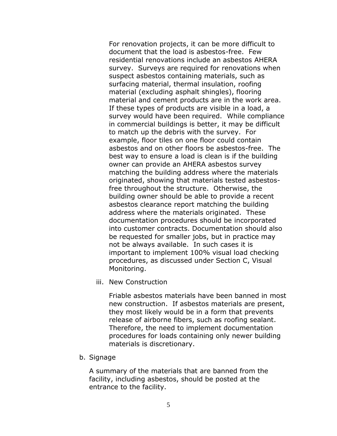For renovation projects, it can be more difficult to document that the load is asbestos-free. Few residential renovations include an asbestos AHERA survey. Surveys are required for renovations when suspect asbestos containing materials, such as surfacing material, thermal insulation, roofing material (excluding asphalt shingles), flooring material and cement products are in the work area. If these types of products are visible in a load, a survey would have been required. While compliance in commercial buildings is better, it may be difficult to match up the debris with the survey. For example, floor tiles on one floor could contain asbestos and on other floors be asbestos-free. The best way to ensure a load is clean is if the building owner can provide an AHERA asbestos survey matching the building address where the materials originated, showing that materials tested asbestosfree throughout the structure. Otherwise, the building owner should be able to provide a recent asbestos clearance report matching the building address where the materials originated. These documentation procedures should be incorporated into customer contracts. Documentation should also be requested for smaller jobs, but in practice may not be always available. In such cases it is important to implement 100% visual load checking procedures, as discussed under Section C, Visual Monitoring.

iii. New Construction

Friable asbestos materials have been banned in most new construction. If asbestos materials are present, they most likely would be in a form that prevents release of airborne fibers, such as roofing sealant. Therefore, the need to implement documentation procedures for loads containing only newer building materials is discretionary.

b. Signage

A summary of the materials that are banned from the facility, including asbestos, should be posted at the entrance to the facility.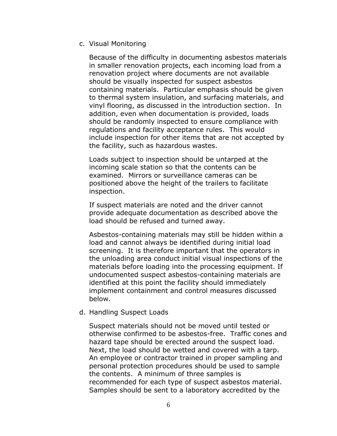c. Visual Monitoring

Because of the difficulty in documenting asbestos materials in smaller renovation projects, each incoming load from a renovation project where documents are not available should be visually inspected for suspect asbestos containing materials. Particular emphasis should be given to thermal system insulation, and surfacing materials, and vinyl flooring, as discussed in the introduction section. In addition, even when documentation is provided, loads should be randomly inspected to ensure compliance with regulations and facility acceptance rules. This would include inspection for other items that are not accepted by the facility, such as hazardous wastes.

Loads subject to inspection should be untarped at the incoming scale station so that the contents can be examined. Mirrors or surveillance cameras can be positioned above the height of the trailers to facilitate inspection.

If suspect materials are noted and the driver cannot provide adequate documentation as described above the load should be refused and turned away.

Asbestos-containing materials may still be hidden within a load and cannot always be identified during initial load screening. It is therefore important that the operators in the unloading area conduct initial visual inspections of the materials before loading into the processing equipment. If undocumented suspect asbestos-containing materials are identified at this point the facility should immediately implement containment and control measures discussed below.

#### d. Handling Suspect Loads

Suspect materials should not be moved until tested or otherwise confirmed to be asbestos-free. Traffic cones and hazard tape should be erected around the suspect load. Next, the load should be wetted and covered with a tarp. An employee or contractor trained in proper sampling and personal protection procedures should be used to sample the contents. A minimum of three samples is recommended for each type of suspect asbestos material. Samples should be sent to a laboratory accredited by the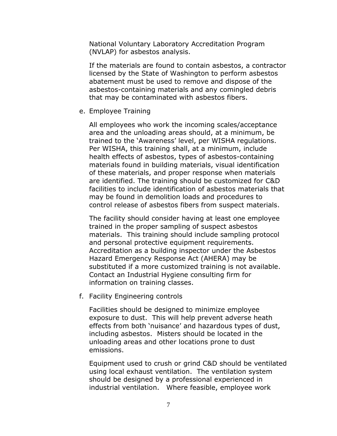National Voluntary Laboratory Accreditation Program (NVLAP) for asbestos analysis.

If the materials are found to contain asbestos, a contractor licensed by the State of Washington to perform asbestos abatement must be used to remove and dispose of the asbestos-containing materials and any comingled debris that may be contaminated with asbestos fibers.

e. Employee Training

All employees who work the incoming scales/acceptance area and the unloading areas should, at a minimum, be trained to the 'Awareness' level, per WISHA regulations. Per WISHA, this training shall, at a minimum, include health effects of asbestos, types of asbestos-containing materials found in building materials, visual identification of these materials, and proper response when materials are identified. The training should be customized for C&D facilities to include identification of asbestos materials that may be found in demolition loads and procedures to control release of asbestos fibers from suspect materials.

The facility should consider having at least one employee trained in the proper sampling of suspect asbestos materials. This training should include sampling protocol and personal protective equipment requirements. Accreditation as a building inspector under the Asbestos Hazard Emergency Response Act (AHERA) may be substituted if a more customized training is not available. Contact an Industrial Hygiene consulting firm for information on training classes.

f. Facility Engineering controls

Facilities should be designed to minimize employee exposure to dust. This will help prevent adverse heath effects from both 'nuisance' and hazardous types of dust, including asbestos. Misters should be located in the unloading areas and other locations prone to dust emissions.

Equipment used to crush or grind C&D should be ventilated using local exhaust ventilation. The ventilation system should be designed by a professional experienced in industrial ventilation. Where feasible, employee work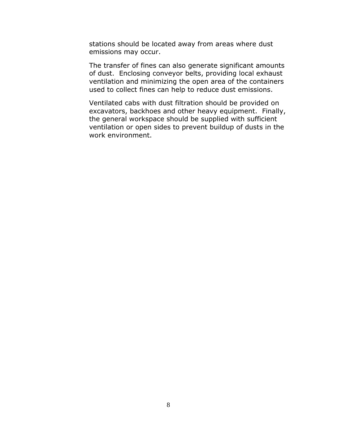stations should be located away from areas where dust emissions may occur.

The transfer of fines can also generate significant amounts of dust. Enclosing conveyor belts, providing local exhaust ventilation and minimizing the open area of the containers used to collect fines can help to reduce dust emissions.

Ventilated cabs with dust filtration should be provided on excavators, backhoes and other heavy equipment. Finally, the general workspace should be supplied with sufficient ventilation or open sides to prevent buildup of dusts in the work environment.